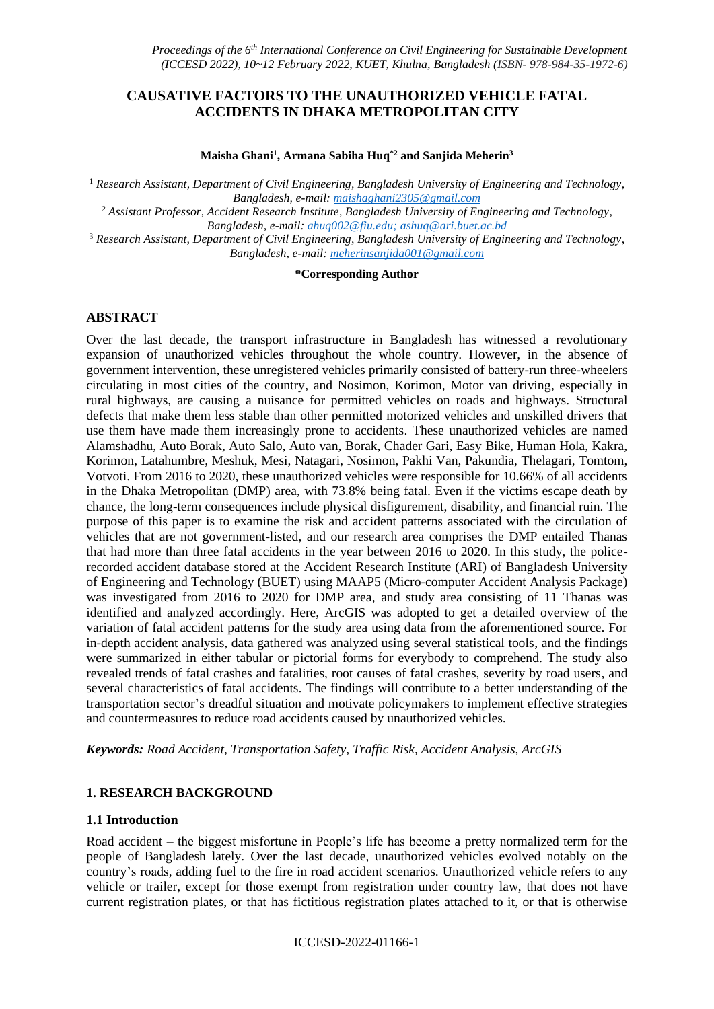# **CAUSATIVE FACTORS TO THE UNAUTHORIZED VEHICLE FATAL ACCIDENTS IN DHAKA METROPOLITAN CITY**

#### **Maisha Ghani<sup>1</sup> , Armana Sabiha Huq\*2 and Sanjida Meherin<sup>3</sup>**

<sup>1</sup> *Research Assistant, Department of Civil Engineering, Bangladesh University of Engineering and Technology, Bangladesh, e-mail: [maishaghani2305@gmail.com](mailto:maishaghani2305@gmail.com)*

*<sup>2</sup> Assistant Professor, Accident Research Institute, Bangladesh University of Engineering and Technology, Bangladesh, e-mail: ahuq002@fiu.edu; [ashuq@ari.buet.ac.bd](mailto:ashuq@ari.buet.ac.bd)*

<sup>3</sup> *Research Assistant, Department of Civil Engineering, Bangladesh University of Engineering and Technology, Bangladesh, e-mail: meherinsanjida001@gmail.com*

#### **\*Corresponding Author**

## **ABSTRACT**

Over the last decade, the transport infrastructure in Bangladesh has witnessed a revolutionary expansion of unauthorized vehicles throughout the whole country. However, in the absence of government intervention, these unregistered vehicles primarily consisted of battery-run three-wheelers circulating in most cities of the country, and Nosimon, Korimon, Motor van driving, especially in rural highways, are causing a nuisance for permitted vehicles on roads and highways. Structural defects that make them less stable than other permitted motorized vehicles and unskilled drivers that use them have made them increasingly prone to accidents. These unauthorized vehicles are named Alamshadhu, Auto Borak, Auto Salo, Auto van, Borak, Chader Gari, Easy Bike, Human Hola, Kakra, Korimon, Latahumbre, Meshuk, Mesi, Natagari, Nosimon, Pakhi Van, Pakundia, Thelagari, Tomtom, Votvoti. From 2016 to 2020, these unauthorized vehicles were responsible for 10.66% of all accidents in the Dhaka Metropolitan (DMP) area, with 73.8% being fatal. Even if the victims escape death by chance, the long-term consequences include physical disfigurement, disability, and financial ruin. The purpose of this paper is to examine the risk and accident patterns associated with the circulation of vehicles that are not government-listed, and our research area comprises the DMP entailed Thanas that had more than three fatal accidents in the year between 2016 to 2020. In this study, the policerecorded accident database stored at the Accident Research Institute (ARI) of Bangladesh University of Engineering and Technology (BUET) using MAAP5 (Micro-computer Accident Analysis Package) was investigated from 2016 to 2020 for DMP area, and study area consisting of 11 Thanas was identified and analyzed accordingly. Here, ArcGIS was adopted to get a detailed overview of the variation of fatal accident patterns for the study area using data from the aforementioned source. For in-depth accident analysis, data gathered was analyzed using several statistical tools, and the findings were summarized in either tabular or pictorial forms for everybody to comprehend. The study also revealed trends of fatal crashes and fatalities, root causes of fatal crashes, severity by road users, and several characteristics of fatal accidents. The findings will contribute to a better understanding of the transportation sector's dreadful situation and motivate policymakers to implement effective strategies and countermeasures to reduce road accidents caused by unauthorized vehicles.

*Keywords: Road Accident, Transportation Safety, Traffic Risk, Accident Analysis, ArcGIS*

## **1. RESEARCH BACKGROUND**

## **1.1 Introduction**

Road accident – the biggest misfortune in People's life has become a pretty normalized term for the people of Bangladesh lately. Over the last decade, unauthorized vehicles evolved notably on the country's roads, adding fuel to the fire in road accident scenarios. Unauthorized vehicle refers to any vehicle or trailer, except for those exempt from registration under country law, that does not have current registration plates, or that has fictitious registration plates attached to it, or that is otherwise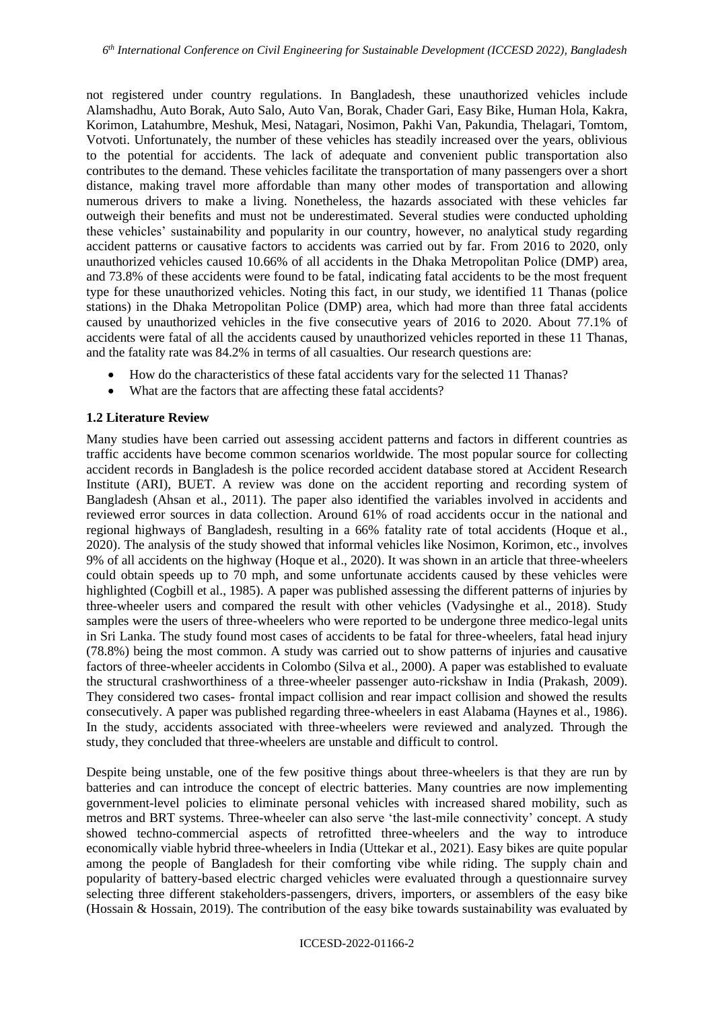not registered under country regulations. In Bangladesh, these unauthorized vehicles include Alamshadhu, Auto Borak, Auto Salo, Auto Van, Borak, Chader Gari, Easy Bike, Human Hola, Kakra, Korimon, Latahumbre, Meshuk, Mesi, Natagari, Nosimon, Pakhi Van, Pakundia, Thelagari, Tomtom, Votvoti. Unfortunately, the number of these vehicles has steadily increased over the years, oblivious to the potential for accidents. The lack of adequate and convenient public transportation also contributes to the demand. These vehicles facilitate the transportation of many passengers over a short distance, making travel more affordable than many other modes of transportation and allowing numerous drivers to make a living. Nonetheless, the hazards associated with these vehicles far outweigh their benefits and must not be underestimated. Several studies were conducted upholding these vehicles' sustainability and popularity in our country, however, no analytical study regarding accident patterns or causative factors to accidents was carried out by far. From 2016 to 2020, only unauthorized vehicles caused 10.66% of all accidents in the Dhaka Metropolitan Police (DMP) area, and 73.8% of these accidents were found to be fatal, indicating fatal accidents to be the most frequent type for these unauthorized vehicles. Noting this fact, in our study, we identified 11 Thanas (police stations) in the Dhaka Metropolitan Police (DMP) area, which had more than three fatal accidents caused by unauthorized vehicles in the five consecutive years of 2016 to 2020. About 77.1% of accidents were fatal of all the accidents caused by unauthorized vehicles reported in these 11 Thanas, and the fatality rate was 84.2% in terms of all casualties. Our research questions are:

- How do the characteristics of these fatal accidents vary for the selected 11 Thanas?
- What are the factors that are affecting these fatal accidents?

## **1.2 Literature Review**

Many studies have been carried out assessing accident patterns and factors in different countries as traffic accidents have become common scenarios worldwide. The most popular source for collecting accident records in Bangladesh is the police recorded accident database stored at Accident Research Institute (ARI), BUET. A review was done on the accident reporting and recording system of Bangladesh (Ahsan et al., 2011). The paper also identified the variables involved in accidents and reviewed error sources in data collection. Around 61% of road accidents occur in the national and regional highways of Bangladesh, resulting in a 66% fatality rate of total accidents (Hoque et al., 2020). The analysis of the study showed that informal vehicles like Nosimon, Korimon, etc., involves 9% of all accidents on the highway (Hoque et al., 2020). It was shown in an article that three-wheelers could obtain speeds up to 70 mph, and some unfortunate accidents caused by these vehicles were highlighted (Cogbill et al., 1985). A paper was published assessing the different patterns of injuries by three-wheeler users and compared the result with other vehicles (Vadysinghe et al., 2018). Study samples were the users of three-wheelers who were reported to be undergone three medico-legal units in Sri Lanka. The study found most cases of accidents to be fatal for three-wheelers, fatal head injury (78.8%) being the most common. A study was carried out to show patterns of injuries and causative factors of three-wheeler accidents in Colombo (Silva et al., 2000). A paper was established to evaluate the structural crashworthiness of a three-wheeler passenger auto-rickshaw in India (Prakash, 2009). They considered two cases- frontal impact collision and rear impact collision and showed the results consecutively. A paper was published regarding three-wheelers in east Alabama (Haynes et al., 1986). In the study, accidents associated with three-wheelers were reviewed and analyzed. Through the study, they concluded that three-wheelers are unstable and difficult to control.

Despite being unstable, one of the few positive things about three-wheelers is that they are run by batteries and can introduce the concept of electric batteries. Many countries are now implementing government-level policies to eliminate personal vehicles with increased shared mobility, such as metros and BRT systems. Three-wheeler can also serve 'the last-mile connectivity' concept. A study showed techno-commercial aspects of retrofitted three-wheelers and the way to introduce economically viable hybrid three-wheelers in India (Uttekar et al., 2021). Easy bikes are quite popular among the people of Bangladesh for their comforting vibe while riding. The supply chain and popularity of battery-based electric charged vehicles were evaluated through a questionnaire survey selecting three different stakeholders-passengers, drivers, importers, or assemblers of the easy bike (Hossain & Hossain, 2019). The contribution of the easy bike towards sustainability was evaluated by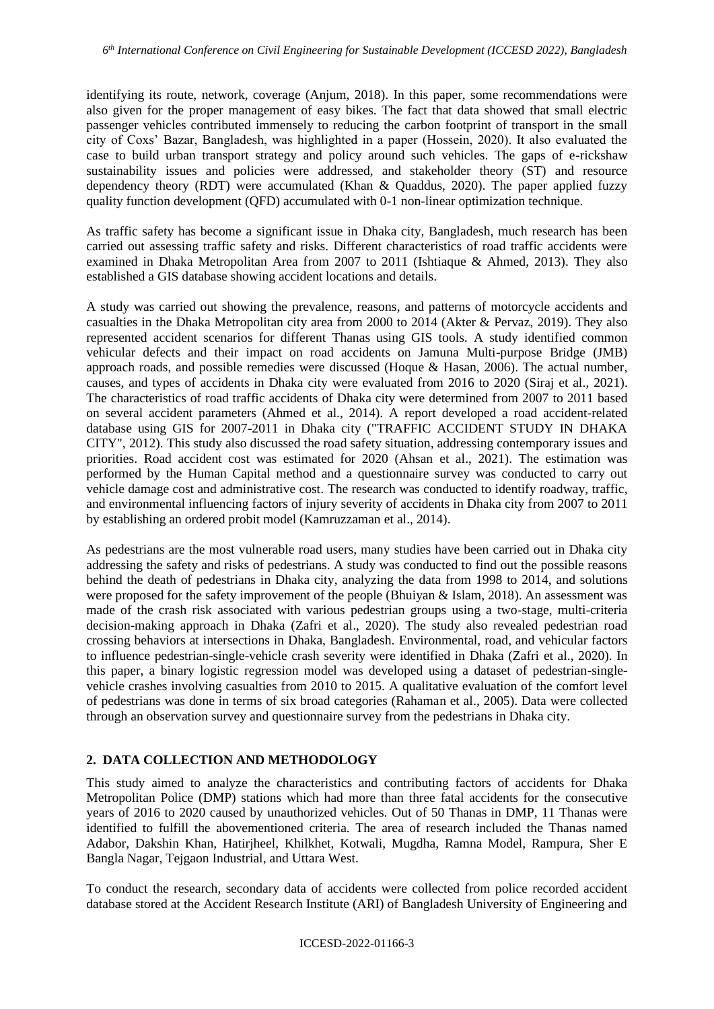identifying its route, network, coverage (Anjum, 2018). In this paper, some recommendations were also given for the proper management of easy bikes. The fact that data showed that small electric passenger vehicles contributed immensely to reducing the carbon footprint of transport in the small city of Coxs' Bazar, Bangladesh, was highlighted in a paper (Hossein, 2020). It also evaluated the case to build urban transport strategy and policy around such vehicles. The gaps of e-rickshaw sustainability issues and policies were addressed, and stakeholder theory (ST) and resource dependency theory (RDT) were accumulated (Khan & Quaddus, 2020). The paper applied fuzzy quality function development (QFD) accumulated with 0-1 non-linear optimization technique.

As traffic safety has become a significant issue in Dhaka city, Bangladesh, much research has been carried out assessing traffic safety and risks. Different characteristics of road traffic accidents were examined in Dhaka Metropolitan Area from 2007 to 2011 (Ishtiaque & Ahmed, 2013). They also established a GIS database showing accident locations and details.

A study was carried out showing the prevalence, reasons, and patterns of motorcycle accidents and casualties in the Dhaka Metropolitan city area from 2000 to 2014 (Akter & Pervaz, 2019). They also represented accident scenarios for different Thanas using GIS tools. A study identified common vehicular defects and their impact on road accidents on Jamuna Multi-purpose Bridge (JMB) approach roads, and possible remedies were discussed (Hoque & Hasan, 2006). The actual number, causes, and types of accidents in Dhaka city were evaluated from 2016 to 2020 (Siraj et al., 2021). The characteristics of road traffic accidents of Dhaka city were determined from 2007 to 2011 based on several accident parameters (Ahmed et al., 2014). A report developed a road accident-related database using GIS for 2007-2011 in Dhaka city ("TRAFFIC ACCIDENT STUDY IN DHAKA CITY", 2012). This study also discussed the road safety situation, addressing contemporary issues and priorities. Road accident cost was estimated for 2020 (Ahsan et al., 2021). The estimation was performed by the Human Capital method and a questionnaire survey was conducted to carry out vehicle damage cost and administrative cost. The research was conducted to identify roadway, traffic, and environmental influencing factors of injury severity of accidents in Dhaka city from 2007 to 2011 by establishing an ordered probit model (Kamruzzaman et al., 2014).

As pedestrians are the most vulnerable road users, many studies have been carried out in Dhaka city addressing the safety and risks of pedestrians. A study was conducted to find out the possible reasons behind the death of pedestrians in Dhaka city, analyzing the data from 1998 to 2014, and solutions were proposed for the safety improvement of the people (Bhuiyan & Islam, 2018). An assessment was made of the crash risk associated with various pedestrian groups using a two-stage, multi-criteria decision-making approach in Dhaka (Zafri et al., 2020). The study also revealed pedestrian road crossing behaviors at intersections in Dhaka, Bangladesh. Environmental, road, and vehicular factors to influence pedestrian-single-vehicle crash severity were identified in Dhaka (Zafri et al., 2020). In this paper, a binary logistic regression model was developed using a dataset of pedestrian-singlevehicle crashes involving casualties from 2010 to 2015. A qualitative evaluation of the comfort level of pedestrians was done in terms of six broad categories (Rahaman et al., 2005). Data were collected through an observation survey and questionnaire survey from the pedestrians in Dhaka city.

## **2. DATA COLLECTION AND METHODOLOGY**

This study aimed to analyze the characteristics and contributing factors of accidents for Dhaka Metropolitan Police (DMP) stations which had more than three fatal accidents for the consecutive years of 2016 to 2020 caused by unauthorized vehicles. Out of 50 Thanas in DMP, 11 Thanas were identified to fulfill the abovementioned criteria. The area of research included the Thanas named Adabor, Dakshin Khan, Hatirjheel, Khilkhet, Kotwali, Mugdha, Ramna Model, Rampura, Sher E Bangla Nagar, Tejgaon Industrial, and Uttara West.

To conduct the research, secondary data of accidents were collected from police recorded accident database stored at the Accident Research Institute (ARI) of Bangladesh University of Engineering and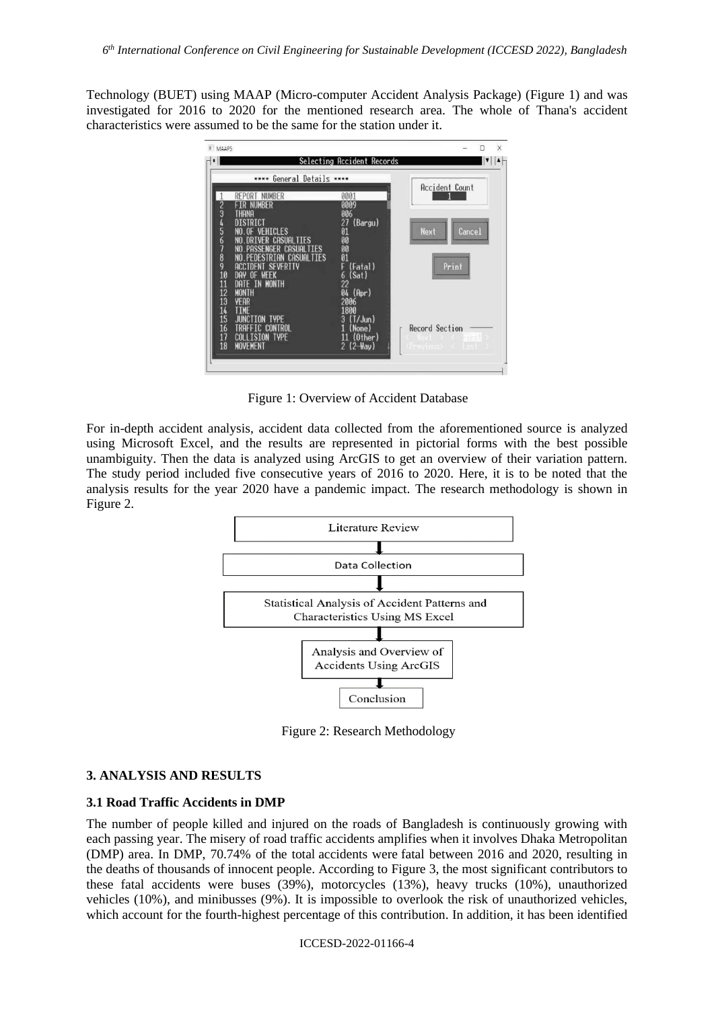Technology (BUET) using MAAP (Micro-computer Accident Analysis Package) (Figure 1) and was investigated for 2016 to 2020 for the mentioned research area. The whole of Thana's accident characteristics were assumed to be the same for the station under it.



Figure 1: Overview of Accident Database

For in-depth accident analysis, accident data collected from the aforementioned source is analyzed using Microsoft Excel, and the results are represented in pictorial forms with the best possible unambiguity. Then the data is analyzed using ArcGIS to get an overview of their variation pattern. The study period included five consecutive years of 2016 to 2020. Here, it is to be noted that the analysis results for the year 2020 have a pandemic impact. The research methodology is shown in Figure 2.



Figure 2: Research Methodology

## **3. ANALYSIS AND RESULTS**

## **3.1 Road Traffic Accidents in DMP**

The number of people killed and injured on the roads of Bangladesh is continuously growing with each passing year. The misery of road traffic accidents amplifies when it involves Dhaka Metropolitan (DMP) area. In DMP, 70.74% of the total accidents were fatal between 2016 and 2020, resulting in the deaths of thousands of innocent people. According to Figure 3, the most significant contributors to these fatal accidents were buses (39%), motorcycles (13%), heavy trucks (10%), unauthorized vehicles (10%), and minibusses (9%). It is impossible to overlook the risk of unauthorized vehicles, which account for the fourth-highest percentage of this contribution. In addition, it has been identified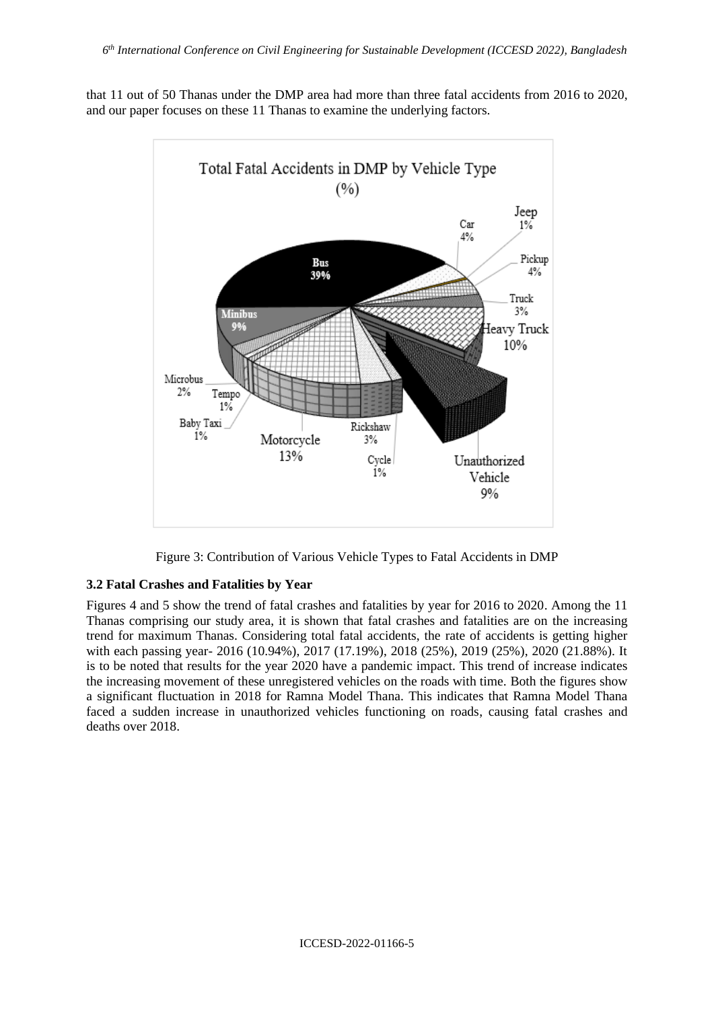that 11 out of 50 Thanas under the DMP area had more than three fatal accidents from 2016 to 2020, and our paper focuses on these 11 Thanas to examine the underlying factors.



Figure 3: Contribution of Various Vehicle Types to Fatal Accidents in DMP

## **3.2 Fatal Crashes and Fatalities by Year**

Figures 4 and 5 show the trend of fatal crashes and fatalities by year for 2016 to 2020. Among the 11 Thanas comprising our study area, it is shown that fatal crashes and fatalities are on the increasing trend for maximum Thanas. Considering total fatal accidents, the rate of accidents is getting higher with each passing year- 2016 (10.94%), 2017 (17.19%), 2018 (25%), 2019 (25%), 2020 (21.88%). It is to be noted that results for the year 2020 have a pandemic impact. This trend of increase indicates the increasing movement of these unregistered vehicles on the roads with time. Both the figures show a significant fluctuation in 2018 for Ramna Model Thana. This indicates that Ramna Model Thana faced a sudden increase in unauthorized vehicles functioning on roads, causing fatal crashes and deaths over 2018.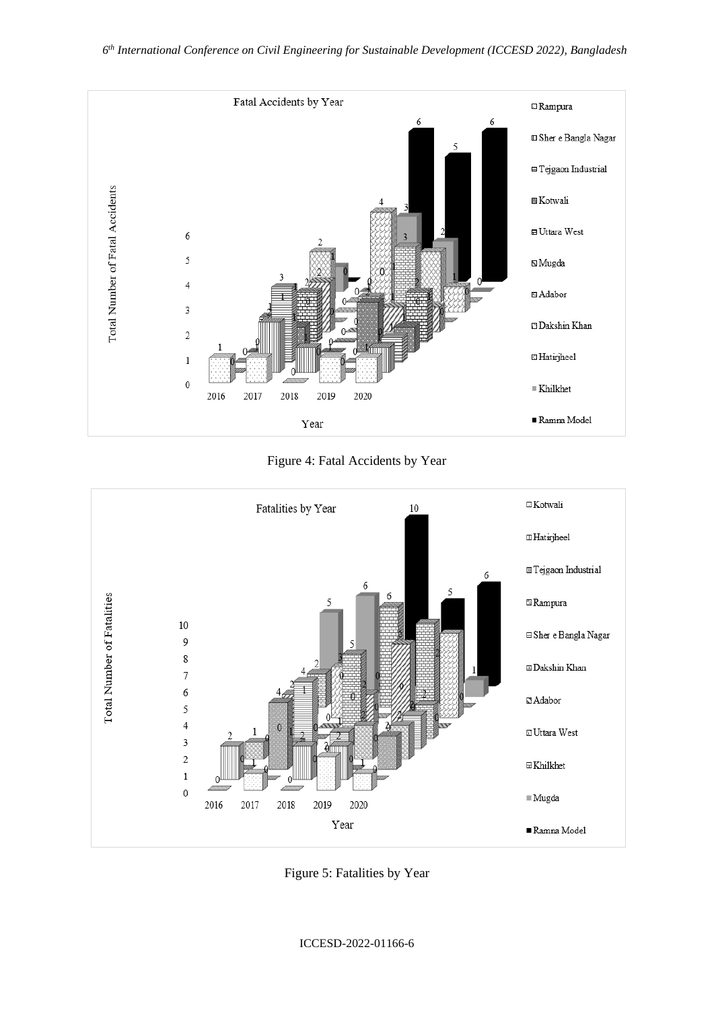

Figure 4: Fatal Accidents by Year



Figure 5: Fatalities by Year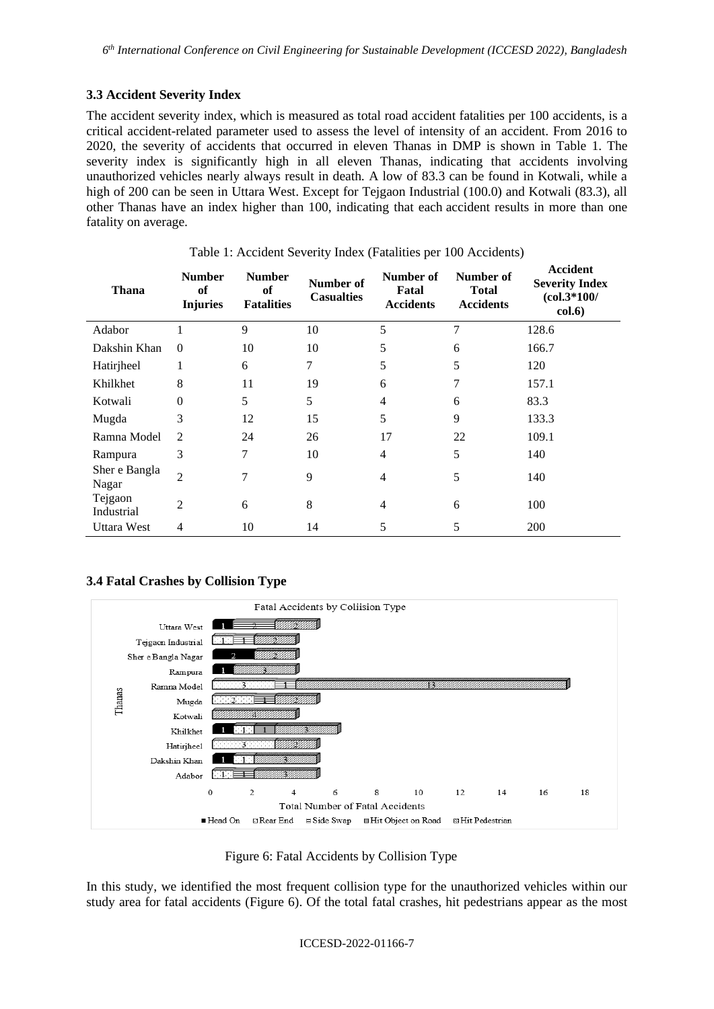## **3.3 Accident Severity Index**

The accident severity index, which is measured as total road accident fatalities per 100 accidents, is a critical accident-related parameter used to assess the level of intensity of an accident. From 2016 to 2020, the severity of accidents that occurred in eleven Thanas in DMP is shown in Table 1. The severity index is significantly high in all eleven Thanas, indicating that accidents involving unauthorized vehicles nearly always result in death. A low of 83.3 can be found in Kotwali, while a high of 200 can be seen in Uttara West. Except for Tejgaon Industrial (100.0) and Kotwali (83.3), all other Thanas have an index higher than 100, indicating that each accident results in more than one fatality on average.

| Thana                  | <b>Number</b><br>of<br><b>Injuries</b> | <b>Number</b><br>of<br><b>Fatalities</b> | Number of<br><b>Casualties</b> | Number of<br>Fatal<br><b>Accidents</b> | Number of<br><b>Total</b><br><b>Accidents</b> | Accident<br><b>Severity Index</b><br>$(col.3*100/$<br>col.6) |
|------------------------|----------------------------------------|------------------------------------------|--------------------------------|----------------------------------------|-----------------------------------------------|--------------------------------------------------------------|
| Adabor                 |                                        | 9                                        | 10                             | 5                                      | 7                                             | 128.6                                                        |
| Dakshin Khan           | $\Omega$                               | 10                                       | 10                             | 5                                      | 6                                             | 166.7                                                        |
| Hatirjheel             | 1                                      | 6                                        | 7                              | 5                                      | 5                                             | 120                                                          |
| Khilkhet               | 8                                      | 11                                       | 19                             | 6                                      | 7                                             | 157.1                                                        |
| Kotwali                | $\theta$                               | 5                                        | 5                              | $\overline{4}$                         | 6                                             | 83.3                                                         |
| Mugda                  | 3                                      | 12                                       | 15                             | 5                                      | 9                                             | 133.3                                                        |
| Ramna Model            | $\mathfrak{D}$                         | 24                                       | 26                             | 17                                     | 22                                            | 109.1                                                        |
| Rampura                | 3                                      | 7                                        | 10                             | 4                                      | 5                                             | 140                                                          |
| Sher e Bangla<br>Nagar | $\overline{2}$                         | 7                                        | 9                              | 4                                      | 5                                             | 140                                                          |
| Tejgaon<br>Industrial  | 2                                      | 6                                        | 8                              | $\overline{4}$                         | 6                                             | 100                                                          |
| <b>Uttara West</b>     | 4                                      | 10                                       | 14                             | 5                                      | 5                                             | 200                                                          |

#### Table 1: Accident Severity Index (Fatalities per 100 Accidents)

## **3.4 Fatal Crashes by Collision Type**



Figure 6: Fatal Accidents by Collision Type

In this study, we identified the most frequent collision type for the unauthorized vehicles within our study area for fatal accidents (Figure 6). Of the total fatal crashes, hit pedestrians appear as the most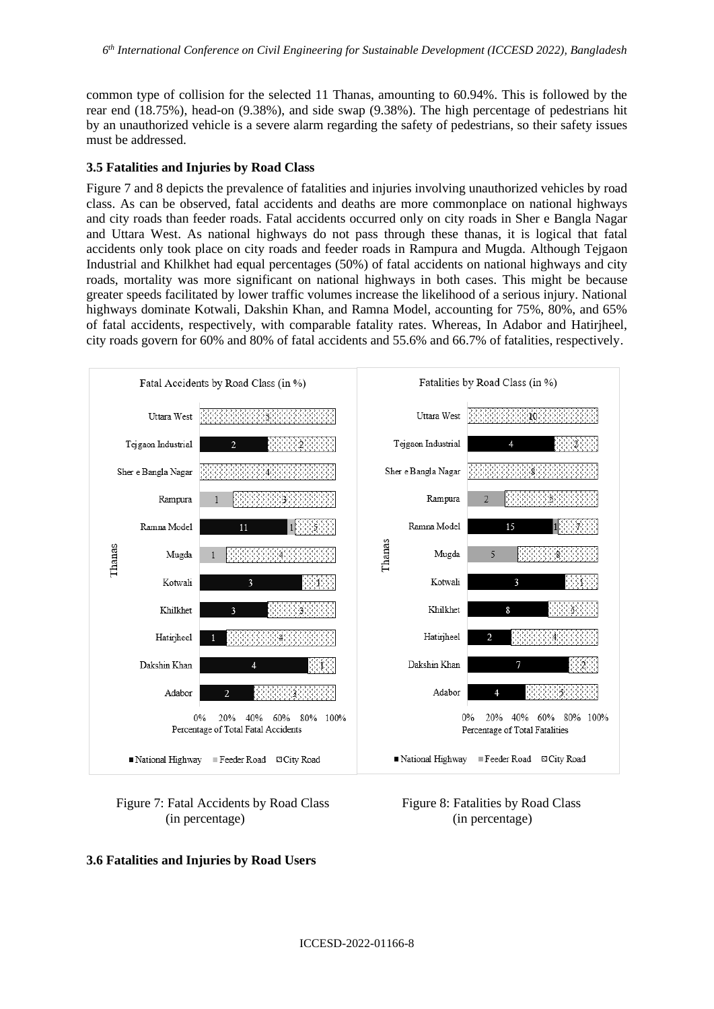common type of collision for the selected 11 Thanas, amounting to 60.94%. This is followed by the rear end (18.75%), head-on (9.38%), and side swap (9.38%). The high percentage of pedestrians hit by an unauthorized vehicle is a severe alarm regarding the safety of pedestrians, so their safety issues must be addressed.

#### **3.5 Fatalities and Injuries by Road Class**

Figure 7 and 8 depicts the prevalence of fatalities and injuries involving unauthorized vehicles by road class. As can be observed, fatal accidents and deaths are more commonplace on national highways and city roads than feeder roads. Fatal accidents occurred only on city roads in Sher e Bangla Nagar and Uttara West. As national highways do not pass through these thanas, it is logical that fatal accidents only took place on city roads and feeder roads in Rampura and Mugda. Although Tejgaon Industrial and Khilkhet had equal percentages (50%) of fatal accidents on national highways and city roads, mortality was more significant on national highways in both cases. This might be because greater speeds facilitated by lower traffic volumes increase the likelihood of a serious injury. National highways dominate Kotwali, Dakshin Khan, and Ramna Model, accounting for 75%, 80%, and 65% of fatal accidents, respectively, with comparable fatality rates. Whereas, In Adabor and Hatirjheel, city roads govern for 60% and 80% of fatal accidents and 55.6% and 66.7% of fatalities, respectively.



## Figure 7: Fatal Accidents by Road Class Figure 8: Fatalities by Road Class (in percentage) (in percentage)

#### **3.6 Fatalities and Injuries by Road Users**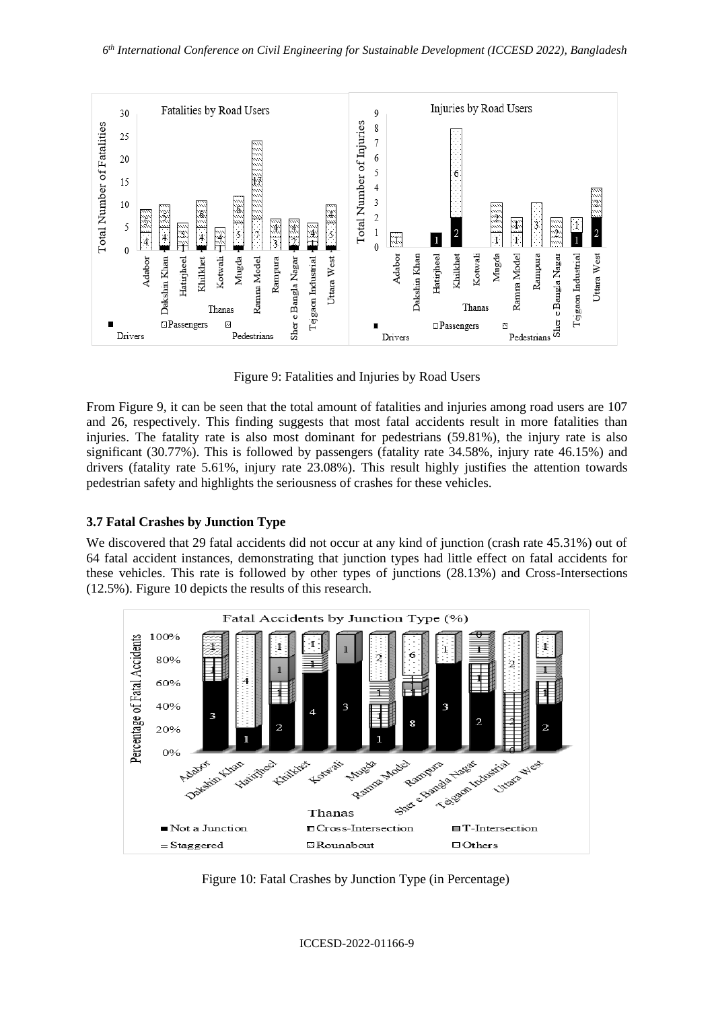

Figure 9: Fatalities and Injuries by Road Users

From Figure 9, it can be seen that the total amount of fatalities and injuries among road users are 107 and 26, respectively. This finding suggests that most fatal accidents result in more fatalities than injuries. The fatality rate is also most dominant for pedestrians (59.81%), the injury rate is also significant (30.77%). This is followed by passengers (fatality rate 34.58%, injury rate 46.15%) and drivers (fatality rate 5.61%, injury rate 23.08%). This result highly justifies the attention towards pedestrian safety and highlights the seriousness of crashes for these vehicles.

## **3.7 Fatal Crashes by Junction Type**

We discovered that 29 fatal accidents did not occur at any kind of junction (crash rate 45.31%) out of 64 fatal accident instances, demonstrating that junction types had little effect on fatal accidents for these vehicles. This rate is followed by other types of junctions (28.13%) and Cross-Intersections (12.5%). Figure 10 depicts the results of this research.



Figure 10: Fatal Crashes by Junction Type (in Percentage)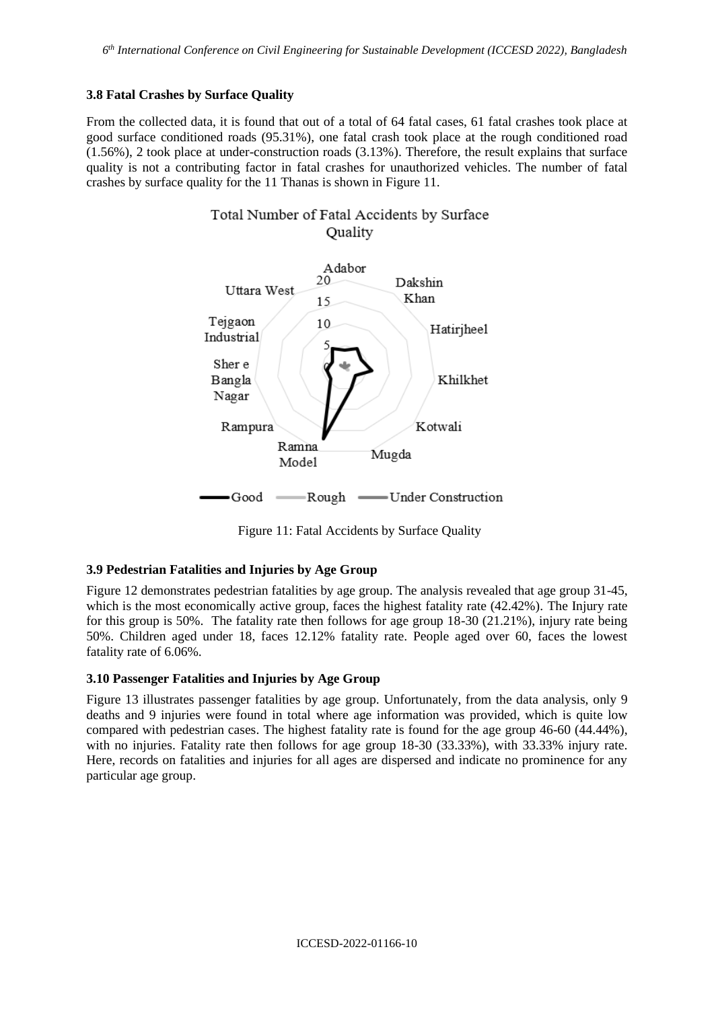## **3.8 Fatal Crashes by Surface Quality**

From the collected data, it is found that out of a total of 64 fatal cases, 61 fatal crashes took place at good surface conditioned roads (95.31%), one fatal crash took place at the rough conditioned road (1.56%), 2 took place at under-construction roads (3.13%). Therefore, the result explains that surface quality is not a contributing factor in fatal crashes for unauthorized vehicles. The number of fatal crashes by surface quality for the 11 Thanas is shown in Figure 11.



Figure 11: Fatal Accidents by Surface Quality

## **3.9 Pedestrian Fatalities and Injuries by Age Group**

Figure 12 demonstrates pedestrian fatalities by age group. The analysis revealed that age group 31-45, which is the most economically active group, faces the highest fatality rate  $(42.42\%)$ . The Injury rate for this group is 50%. The fatality rate then follows for age group 18-30 (21.21%), injury rate being 50%. Children aged under 18, faces 12.12% fatality rate. People aged over 60, faces the lowest fatality rate of 6.06%.

## **3.10 Passenger Fatalities and Injuries by Age Group**

Figure 13 illustrates passenger fatalities by age group. Unfortunately, from the data analysis, only 9 deaths and 9 injuries were found in total where age information was provided, which is quite low compared with pedestrian cases. The highest fatality rate is found for the age group 46-60 (44.44%), with no injuries. Fatality rate then follows for age group 18-30 (33.33%), with 33.33% injury rate. Here, records on fatalities and injuries for all ages are dispersed and indicate no prominence for any particular age group.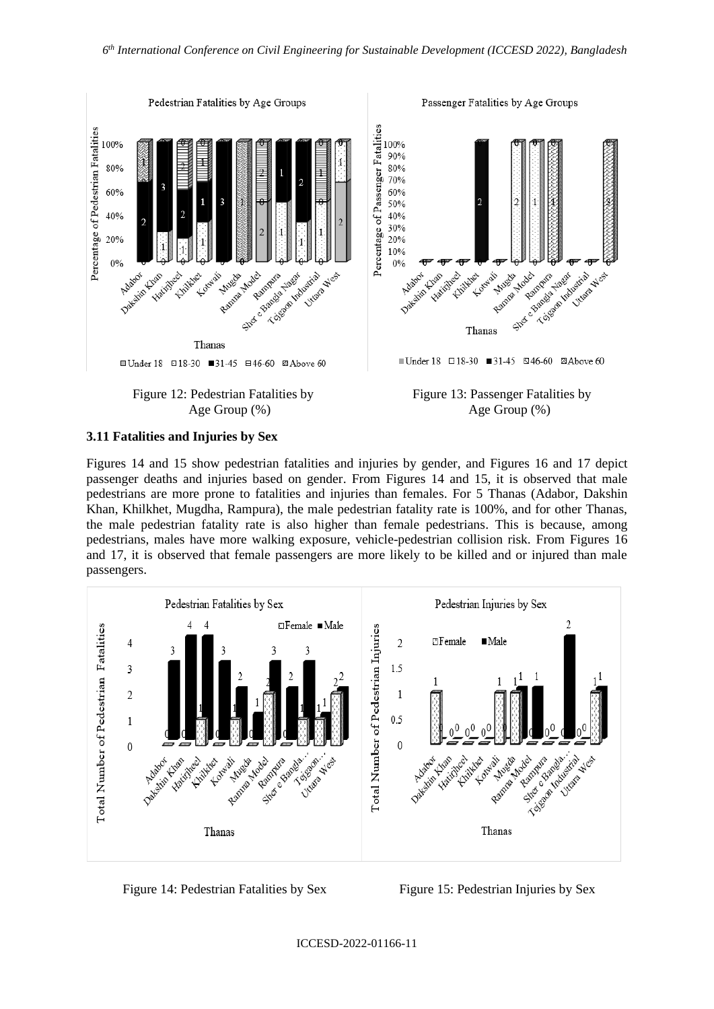

#### **3.11 Fatalities and Injuries by Sex**

Figures 14 and 15 show pedestrian fatalities and injuries by gender, and Figures 16 and 17 depict passenger deaths and injuries based on gender. From Figures 14 and 15, it is observed that male pedestrians are more prone to fatalities and injuries than females. For 5 Thanas (Adabor, Dakshin Khan, Khilkhet, Mugdha, Rampura), the male pedestrian fatality rate is 100%, and for other Thanas, the male pedestrian fatality rate is also higher than female pedestrians. This is because, among pedestrians, males have more walking exposure, vehicle-pedestrian collision risk. From Figures 16 and 17, it is observed that female passengers are more likely to be killed and or injured than male passengers.



Figure 14: Pedestrian Fatalities by Sex Figure 15: Pedestrian Injuries by Sex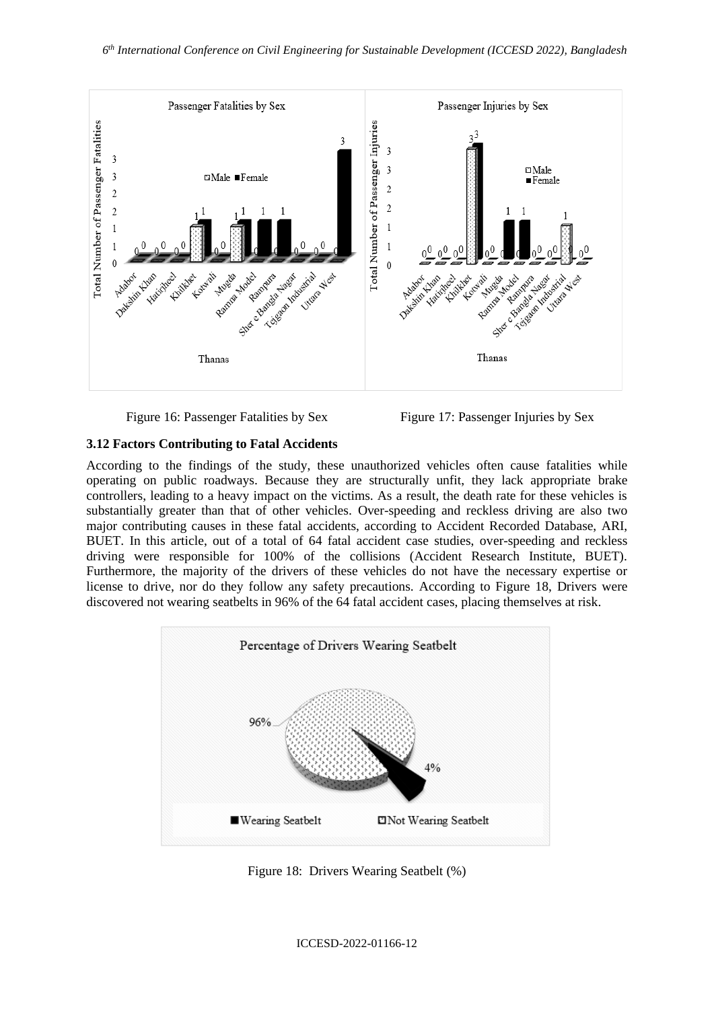

Figure 16: Passenger Fatalities by Sex Figure 17: Passenger Injuries by Sex

## **3.12 Factors Contributing to Fatal Accidents**

According to the findings of the study, these unauthorized vehicles often cause fatalities while operating on public roadways. Because they are structurally unfit, they lack appropriate brake controllers, leading to a heavy impact on the victims. As a result, the death rate for these vehicles is substantially greater than that of other vehicles. Over-speeding and reckless driving are also two major contributing causes in these fatal accidents, according to Accident Recorded Database, ARI, BUET. In this article, out of a total of 64 fatal accident case studies, over-speeding and reckless driving were responsible for 100% of the collisions (Accident Research Institute, BUET). Furthermore, the majority of the drivers of these vehicles do not have the necessary expertise or license to drive, nor do they follow any safety precautions. According to Figure 18, Drivers were discovered not wearing seatbelts in 96% of the 64 fatal accident cases, placing themselves at risk.



Figure 18: Drivers Wearing Seatbelt (%)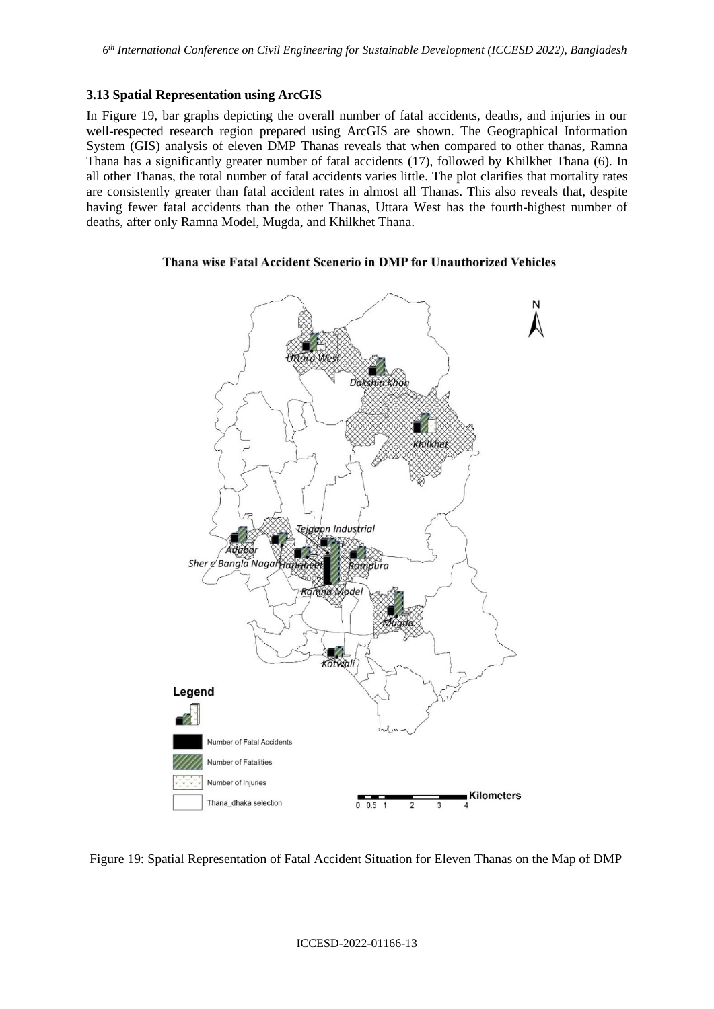#### **3.13 Spatial Representation using ArcGIS**

In Figure 19, bar graphs depicting the overall number of fatal accidents, deaths, and injuries in our well-respected research region prepared using ArcGIS are shown. The Geographical Information System (GIS) analysis of eleven DMP Thanas reveals that when compared to other thanas, Ramna Thana has a significantly greater number of fatal accidents (17), followed by Khilkhet Thana (6). In all other Thanas, the total number of fatal accidents varies little. The plot clarifies that mortality rates are consistently greater than fatal accident rates in almost all Thanas. This also reveals that, despite having fewer fatal accidents than the other Thanas, Uttara West has the fourth-highest number of deaths, after only Ramna Model, Mugda, and Khilkhet Thana.

#### Thana wise Fatal Accident Scenerio in DMP for Unauthorized Vehicles



Figure 19: Spatial Representation of Fatal Accident Situation for Eleven Thanas on the Map of DMP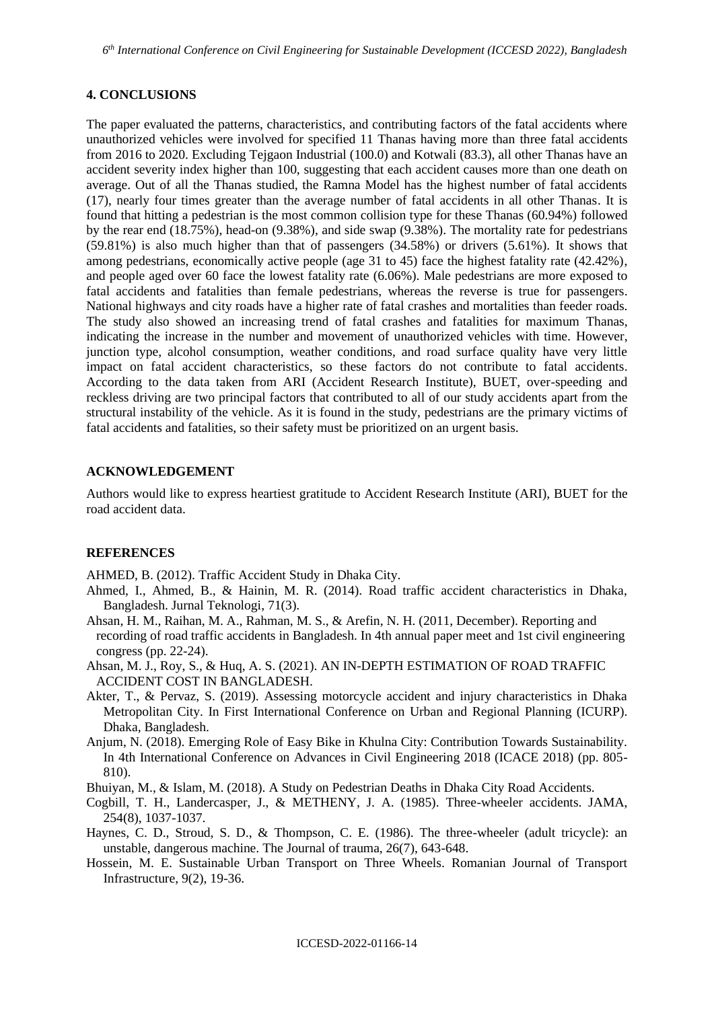#### **4. CONCLUSIONS**

The paper evaluated the patterns, characteristics, and contributing factors of the fatal accidents where unauthorized vehicles were involved for specified 11 Thanas having more than three fatal accidents from 2016 to 2020. Excluding Tejgaon Industrial (100.0) and Kotwali (83.3), all other Thanas have an accident severity index higher than 100, suggesting that each accident causes more than one death on average. Out of all the Thanas studied, the Ramna Model has the highest number of fatal accidents (17), nearly four times greater than the average number of fatal accidents in all other Thanas. It is found that hitting a pedestrian is the most common collision type for these Thanas (60.94%) followed by the rear end (18.75%), head-on (9.38%), and side swap (9.38%). The mortality rate for pedestrians (59.81%) is also much higher than that of passengers (34.58%) or drivers (5.61%). It shows that among pedestrians, economically active people (age 31 to 45) face the highest fatality rate (42.42%), and people aged over 60 face the lowest fatality rate (6.06%). Male pedestrians are more exposed to fatal accidents and fatalities than female pedestrians, whereas the reverse is true for passengers. National highways and city roads have a higher rate of fatal crashes and mortalities than feeder roads. The study also showed an increasing trend of fatal crashes and fatalities for maximum Thanas, indicating the increase in the number and movement of unauthorized vehicles with time. However, junction type, alcohol consumption, weather conditions, and road surface quality have very little impact on fatal accident characteristics, so these factors do not contribute to fatal accidents. According to the data taken from ARI (Accident Research Institute), BUET, over-speeding and reckless driving are two principal factors that contributed to all of our study accidents apart from the structural instability of the vehicle. As it is found in the study, pedestrians are the primary victims of fatal accidents and fatalities, so their safety must be prioritized on an urgent basis.

#### **ACKNOWLEDGEMENT**

Authors would like to express heartiest gratitude to Accident Research Institute (ARI), BUET for the road accident data.

#### **REFERENCES**

AHMED, B. (2012). Traffic Accident Study in Dhaka City.

- Ahmed, I., Ahmed, B., & Hainin, M. R. (2014). Road traffic accident characteristics in Dhaka, Bangladesh. Jurnal Teknologi, 71(3).
- Ahsan, H. M., Raihan, M. A., Rahman, M. S., & Arefin, N. H. (2011, December). Reporting and recording of road traffic accidents in Bangladesh. In 4th annual paper meet and 1st civil engineering congress (pp. 22-24).
- Ahsan, M. J., Roy, S., & Huq, A. S. (2021). AN IN-DEPTH ESTIMATION OF ROAD TRAFFIC ACCIDENT COST IN BANGLADESH.
- Akter, T., & Pervaz, S. (2019). Assessing motorcycle accident and injury characteristics in Dhaka Metropolitan City. In First International Conference on Urban and Regional Planning (ICURP). Dhaka, Bangladesh.
- Anjum, N. (2018). Emerging Role of Easy Bike in Khulna City: Contribution Towards Sustainability. In 4th International Conference on Advances in Civil Engineering 2018 (ICACE 2018) (pp. 805- 810).
- Bhuiyan, M., & Islam, M. (2018). A Study on Pedestrian Deaths in Dhaka City Road Accidents.
- Cogbill, T. H., Landercasper, J., & METHENY, J. A. (1985). Three-wheeler accidents. JAMA, 254(8), 1037-1037.
- Haynes, C. D., Stroud, S. D., & Thompson, C. E. (1986). The three-wheeler (adult tricycle): an unstable, dangerous machine. The Journal of trauma, 26(7), 643-648.
- Hossein, M. E. Sustainable Urban Transport on Three Wheels. Romanian Journal of Transport Infrastructure, 9(2), 19-36.